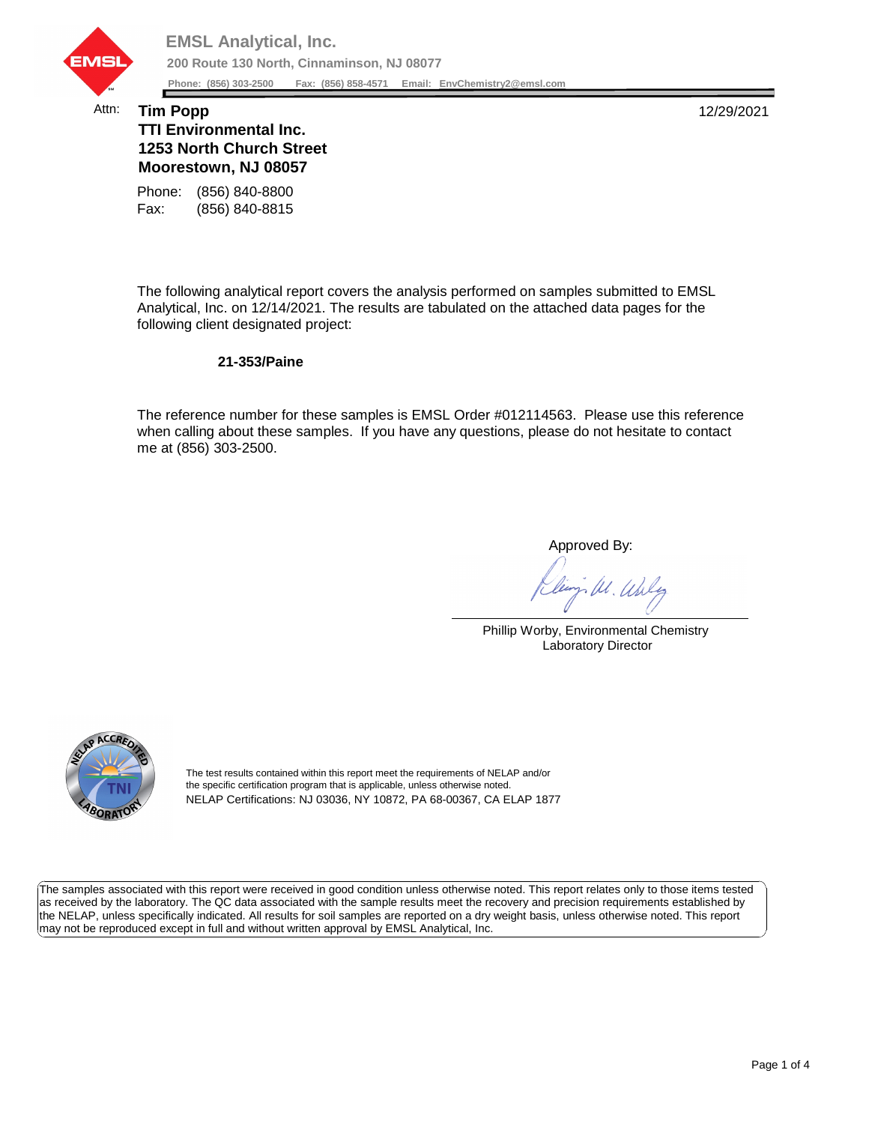

## Attn: **Tim Popp** 12/29/2021 **TTI Environmental Inc. 1253 North Church Street Moorestown, NJ 08057**

Fax: (856) 840-8815 Phone: (856) 840-8800

The following analytical report covers the analysis performed on samples submitted to EMSL Analytical, Inc. on 12/14/2021. The results are tabulated on the attached data pages for the following client designated project:

## **21-353/Paine**

The reference number for these samples is EMSL Order #012114563. Please use this reference when calling about these samples. If you have any questions, please do not hesitate to contact me at (856) 303-2500.

Approved By:

W. Whly

Phillip Worby, Environmental Chemistry Laboratory Director



The test results contained within this report meet the requirements of NELAP and/or the specific certification program that is applicable, unless otherwise noted. NELAP Certifications: NJ 03036, NY 10872, PA 68-00367, CA ELAP 1877

The samples associated with this report were received in good condition unless otherwise noted. This report relates only to those items tested as received by the laboratory. The QC data associated with the sample results meet the recovery and precision requirements established by the NELAP, unless specifically indicated. All results for soil samples are reported on a dry weight basis, unless otherwise noted. This report may not be reproduced except in full and without written approval by EMSL Analytical, Inc.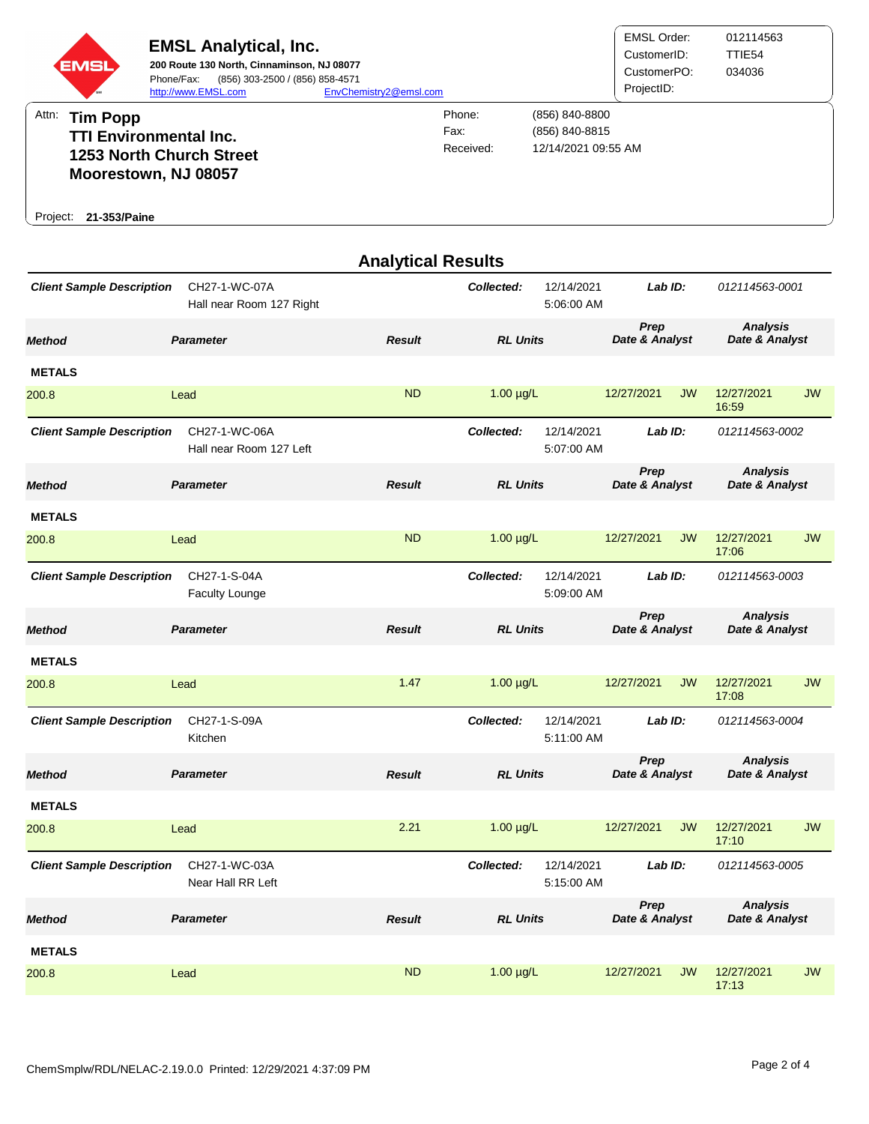

| <b>Analytical Results</b>                                              |                                           |               |                                        |                                     |                        |           |                                   |           |  |
|------------------------------------------------------------------------|-------------------------------------------|---------------|----------------------------------------|-------------------------------------|------------------------|-----------|-----------------------------------|-----------|--|
| <b>Client Sample Description</b>                                       | CH27-1-WC-07A<br>Hall near Room 127 Right |               | Collected:                             | 12/14/2021<br>5:06:00 AM            | Lab ID:                |           | 012114563-0001                    |           |  |
| Method                                                                 | <b>Parameter</b>                          | <b>Result</b> | <b>RL Units</b>                        |                                     | Prep<br>Date & Analyst |           | <b>Analysis</b><br>Date & Analyst |           |  |
| <b>METALS</b>                                                          |                                           |               |                                        |                                     |                        |           |                                   |           |  |
| 200.8                                                                  | Lead                                      | <b>ND</b>     | $1.00 \mu g/L$                         |                                     | 12/27/2021             | <b>JW</b> | 12/27/2021<br>16:59               | <b>JW</b> |  |
| <b>Client Sample Description</b>                                       | CH27-1-WC-06A<br>Hall near Room 127 Left  |               | Collected:                             | 12/14/2021<br>5:07:00 AM            | Lab ID:                |           | 012114563-0002                    |           |  |
| Method                                                                 | <b>Parameter</b>                          | <b>Result</b> | <b>RL Units</b>                        |                                     | Prep<br>Date & Analyst |           | <b>Analysis</b><br>Date & Analyst |           |  |
| <b>METALS</b>                                                          |                                           |               |                                        |                                     |                        |           |                                   |           |  |
| 200.8                                                                  | Lead                                      | <b>ND</b>     | $1.00 \mu g/L$                         |                                     | 12/27/2021             | <b>JW</b> | 12/27/2021<br>17:06               | <b>JW</b> |  |
| <b>Client Sample Description</b>                                       | CH27-1-S-04A<br><b>Faculty Lounge</b>     |               | Collected:                             | 12/14/2021<br>Lab ID:<br>5:09:00 AM |                        |           | 012114563-0003                    |           |  |
| Method                                                                 | <b>Parameter</b>                          | <b>Result</b> | <b>RL Units</b>                        |                                     | Prep<br>Date & Analyst |           | <b>Analysis</b><br>Date & Analyst |           |  |
| <b>METALS</b>                                                          |                                           |               |                                        |                                     |                        |           |                                   |           |  |
| 200.8                                                                  | Lead                                      | 1.47          | $1.00 \mu g/L$                         |                                     | 12/27/2021             | <b>JW</b> | 12/27/2021<br>17:08               | <b>JW</b> |  |
| <b>Client Sample Description</b>                                       | CH27-1-S-09A<br>Kitchen                   |               | Collected:                             | 12/14/2021<br>5:11:00 AM            | Lab ID:                |           | 012114563-0004                    |           |  |
| Method                                                                 | <b>Parameter</b>                          | <b>Result</b> | <b>RL Units</b>                        |                                     | Prep<br>Date & Analyst |           | <b>Analysis</b><br>Date & Analyst |           |  |
| <b>METALS</b>                                                          |                                           |               |                                        |                                     |                        |           |                                   |           |  |
| 200.8                                                                  | Lead                                      | 2.21          | $1.00 \mu g/L$                         |                                     | 12/27/2021             | <b>JW</b> | 12/27/2021<br>17:10               | <b>JW</b> |  |
| CH27-1-WC-03A<br><b>Client Sample Description</b><br>Near Hall RR Left |                                           |               | 12/14/2021<br>Collected:<br>5:15:00 AM |                                     | Lab ID:                |           | 012114563-0005                    |           |  |
| Method                                                                 | <b>Parameter</b>                          | <b>Result</b> | <b>RL Units</b>                        |                                     | Prep<br>Date & Analyst |           | <b>Analysis</b><br>Date & Analyst |           |  |
| <b>METALS</b>                                                          |                                           |               |                                        |                                     |                        |           |                                   |           |  |
| 200.8                                                                  | Lead                                      | <b>ND</b>     | $1.00 \mu g/L$                         |                                     | 12/27/2021             | <b>JW</b> | 12/27/2021<br>17:13               | <b>JW</b> |  |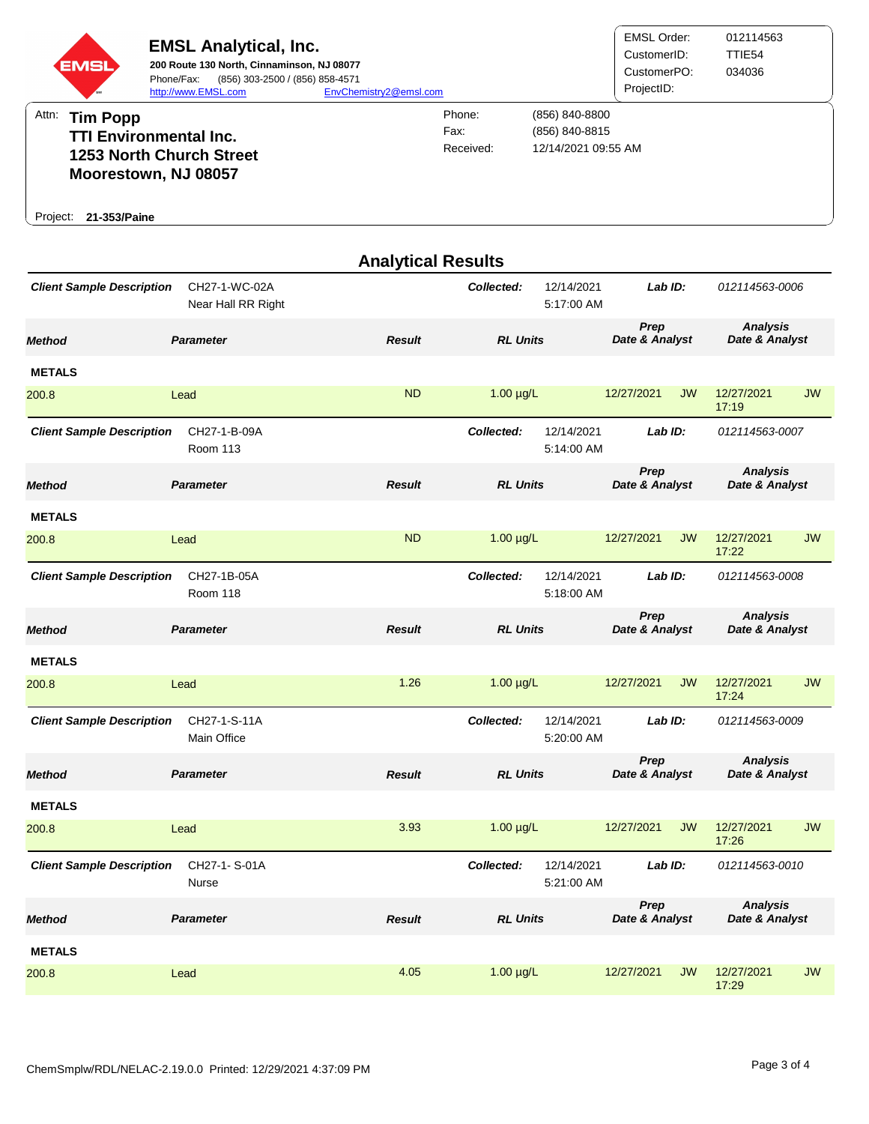

|                                  |                                     | <b>Analytical Results</b> |                 |                          |                        |           |                                   |           |
|----------------------------------|-------------------------------------|---------------------------|-----------------|--------------------------|------------------------|-----------|-----------------------------------|-----------|
| <b>Client Sample Description</b> | CH27-1-WC-02A<br>Near Hall RR Right |                           | Collected:      | 12/14/2021<br>5:17:00 AM | Lab ID:                |           | 012114563-0006                    |           |
| <b>Method</b>                    | <b>Parameter</b>                    | <b>Result</b>             | <b>RL Units</b> |                          | Prep<br>Date & Analyst |           | <b>Analysis</b><br>Date & Analyst |           |
| <b>METALS</b>                    |                                     |                           |                 |                          |                        |           |                                   |           |
| 200.8                            | Lead                                | <b>ND</b>                 | $1.00 \mu g/L$  |                          | 12/27/2021             | <b>JW</b> | 12/27/2021<br>17:19               | <b>JW</b> |
| <b>Client Sample Description</b> | CH27-1-B-09A<br><b>Room 113</b>     |                           | Collected:      | 12/14/2021<br>5:14:00 AM | $Lab$ $ID:$            |           | 012114563-0007                    |           |
| <b>Method</b>                    | <b>Parameter</b>                    | <b>Result</b>             | <b>RL Units</b> |                          | Prep<br>Date & Analyst |           | <b>Analysis</b><br>Date & Analyst |           |
| <b>METALS</b>                    |                                     |                           |                 |                          |                        |           |                                   |           |
| 200.8                            | Lead                                | <b>ND</b>                 | $1.00 \mu g/L$  |                          | 12/27/2021             | <b>JW</b> | 12/27/2021<br>17:22               | <b>JW</b> |
| <b>Client Sample Description</b> | CH27-1B-05A<br><b>Room 118</b>      |                           | Collected:      | 12/14/2021<br>5:18:00 AM | Lab ID:                |           | 012114563-0008                    |           |
| <b>Method</b>                    | <b>Parameter</b>                    | <b>Result</b>             | <b>RL Units</b> |                          | Prep<br>Date & Analyst |           | <b>Analysis</b><br>Date & Analyst |           |
| <b>METALS</b>                    |                                     |                           |                 |                          |                        |           |                                   |           |
| 200.8                            | Lead                                | 1.26                      | $1.00 \mu g/L$  |                          | 12/27/2021             | <b>JW</b> | 12/27/2021<br>17:24               | <b>JW</b> |
| <b>Client Sample Description</b> | CH27-1-S-11A<br>Main Office         |                           | Collected:      | 12/14/2021<br>5:20:00 AM | Lab ID:                |           | 012114563-0009                    |           |
| <b>Method</b>                    | <b>Parameter</b>                    | <b>Result</b>             | <b>RL Units</b> |                          | Prep<br>Date & Analyst |           | <b>Analysis</b><br>Date & Analyst |           |
| <b>METALS</b>                    |                                     |                           |                 |                          |                        |           |                                   |           |
| 200.8                            | Lead                                | 3.93                      | $1.00 \mu g/L$  |                          | 12/27/2021             | <b>JW</b> | 12/27/2021<br>17:26               | <b>JW</b> |
| <b>Client Sample Description</b> | CH27-1-S-01A<br>Nurse               |                           | Collected:      | 12/14/2021<br>5:21:00 AM | Lab ID:                |           | 012114563-0010                    |           |
| <b>Method</b>                    | <b>Parameter</b>                    | <b>Result</b>             | <b>RL Units</b> |                          | Prep<br>Date & Analyst |           | <b>Analysis</b><br>Date & Analyst |           |
| <b>METALS</b>                    |                                     |                           |                 |                          |                        |           |                                   |           |
| 200.8                            | Lead                                | 4.05                      | $1.00 \mu g/L$  |                          | 12/27/2021             | <b>JW</b> | 12/27/2021<br>17:29               | <b>JW</b> |